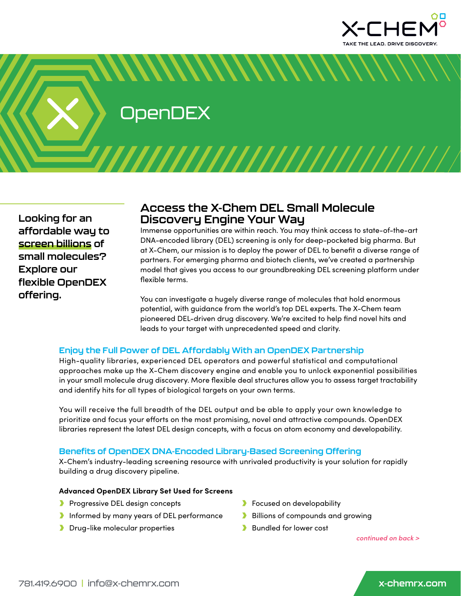

**OpenDEX** 

**Looking for an affordable way to screen billions of small molecules? Explore our flexible OpenDEX offering.** 

# **Access the X-Chem DEL Small Molecule Discovery Engine Your Way**

*MMMMMMMMM* 

Immense opportunities are within reach. You may think access to state-of-the-art DNA-encoded library (DEL) screening is only for deep-pocketed big pharma. But at X-Chem, our mission is to deploy the power of DEL to benefit a diverse range of partners. For emerging pharma and biotech clients, we've created a partnership model that gives you access to our groundbreaking DEL screening platform under flexible terms.

You can investigate a hugely diverse range of molecules that hold enormous potential, with guidance from the world's top DEL experts. The X-Chem team pioneered DEL-driven drug discovery. We're excited to help find novel hits and leads to your target with unprecedented speed and clarity.

## **Enjoy the Full Power of DEL Affordably With an OpenDEX Partnership**

High-quality libraries, experienced DEL operators and powerful statistical and computational approaches make up the X-Chem discovery engine and enable you to unlock exponential possibilities in your small molecule drug discovery. More flexible deal structures allow you to assess target tractability and identify hits for all types of biological targets on your own terms.

You will receive the full breadth of the DEL output and be able to apply your own knowledge to prioritize and focus your efforts on the most promising, novel and attractive compounds. OpenDEX libraries represent the latest DEL design concepts, with a focus on atom economy and developability.

## **Benefits of OpenDEX DNA-Encoded Library-Based Screening Offering**

X-Chem's industry-leading screening resource with unrivaled productivity is your solution for rapidly building a drug discovery pipeline.

### **Advanced OpenDEX Library Set Used for Screens**

- **Progressive DEL design concepts**
- **Informed by many years of DEL performance**
- **Drug-like molecular properties**
- **Focused on developability**
- **Billions of compounds and growing**
- **Bundled for lower cost**

*continued on back >*